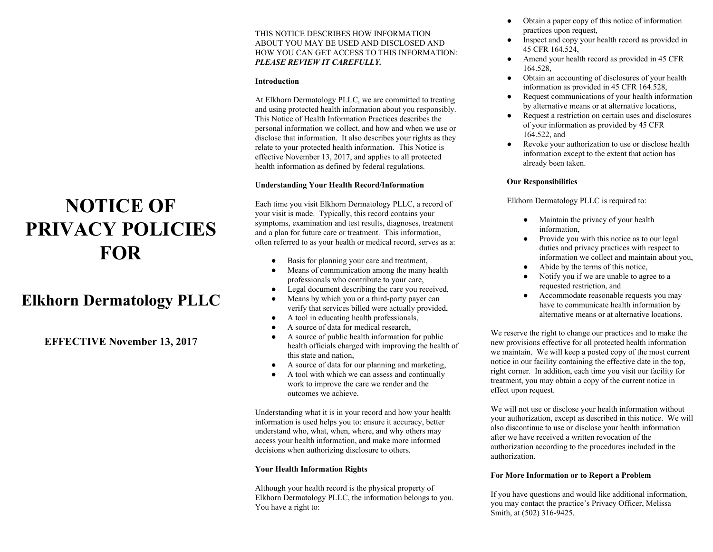#### THIS NOTICE DESCRIBES HOW INFORMATION ABOUT YOU MAY BE USED AND DISCLOSED AND HOW YOU CAN GET ACCESS TO THIS INFORMATION: *PLEASE REVIEW IT CAREFULLY.*

#### **Introduction**

At Elkhorn Dermatology PLLC, we are committed to treating and using protected health information about you responsibly. This Notice of Health Information Practices describes the personal information we collect, and how and when we use or disclose that information. It also describes your rights as they relate to your protected health information. This Notice is effective November 13, 2017, and applies to all protected health information as defined by federal regulations.

#### **Understanding Your Health Record/Information**

Each time you visit Elkhorn Dermatology PLLC, a record of your visit is made. Typically, this record contains your symptoms, examination and test results, diagnoses, treatment and a plan for future care or treatment. This information, often referred to as your health or medical record, serves as a:

- Basis for planning your care and treatment,
- Means of communication among the many health professionals who contribute to your care,
- Legal document describing the care you received,
- Means by which you or a third-party payer can verify that services billed were actually provided,
- A tool in educating health professionals,
- A source of data for medical research,
- A source of public health information for public health officials charged with improving the health of this state and nation,
- A source of data for our planning and marketing,
- A tool with which we can assess and continually work to improve the care we render and the outcomes we achieve.

Understanding what it is in your record and how your health information is used helps you to: ensure it accuracy, better understand who, what, when, where, and why others may access your health information, and make more informed decisions when authorizing disclosure to others.

## **Your Health Information Rights**

Although your health record is the physical property of Elkhorn Dermatology PLLC, the information belongs to you. You have a right to:

- Obtain a paper copy of this notice of information practices upon request,
- Inspect and copy your health record as provided in 45 CFR 164.524,
- Amend your health record as provided in 45 CFR 164.528,
- Obtain an accounting of disclosures of your health information as provided in 45 CFR 164.528,
- Request communications of your health information by alternative means or at alternative locations,
- Request a restriction on certain uses and disclosures of your information as provided by 45 CFR 164.522, and
- Revoke your authorization to use or disclose health information except to the extent that action has already been taken.

### **Our Responsibilities**

Elkhorn Dermatology PLLC is required to:

- Maintain the privacy of your health information,
- Provide you with this notice as to our legal duties and privacy practices with respect to information we collect and maintain about you,
- Abide by the terms of this notice.
- Notify you if we are unable to agree to a requested restriction, and
- Accommodate reasonable requests you may have to communicate health information by alternative means or at alternative locations.

We reserve the right to change our practices and to make the new provisions effective for all protected health information we maintain. We will keep a posted copy of the most current notice in our facility containing the effective date in the top, right corner. In addition, each time you visit our facility for treatment, you may obtain a copy of the current notice in effect upon request.

We will not use or disclose your health information without your authorization, except as described in this notice. We will also discontinue to use or disclose your health information after we have received a written revocation of the authorization according to the procedures included in the authorization.

#### **For More Information or to Report a Problem**

If you have questions and would like additional information, you may contact the practice's Privacy Officer, Melissa Smith, at (502) 316-9425.

# **NOTICE OF PRIVACY POLICIES FOR**

# **Elkhorn Dermatology PLLC**

**EFFECTIVE November 13, 2017**